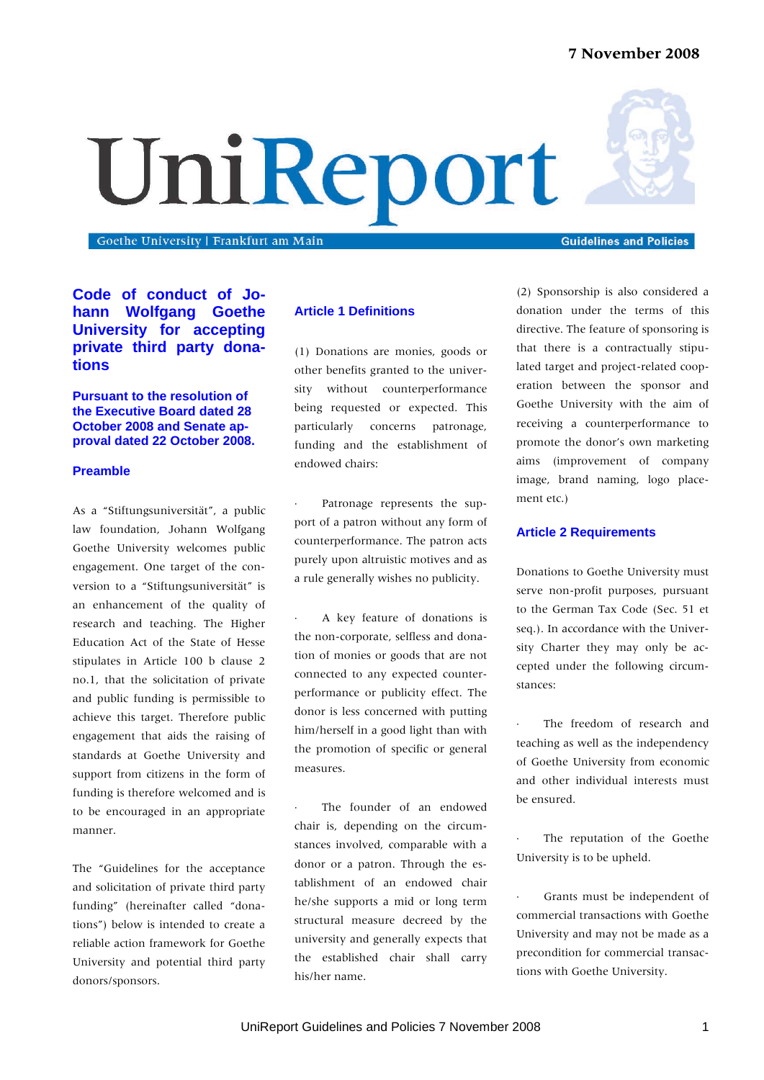# **7 November 2008**

# UniReport

Goethe University | Frankfurt am Main

**Code of conduct of Johann Wolfgang Goethe University for accepting private third party donations**

**Pursuant to the resolution of the Executive Board dated 28 October 2008 and Senate approval dated 22 October 2008.**

# **Preamble**

As a "Stiftungsuniversität", a public law foundation, Johann Wolfgang Goethe University welcomes public engagement. One target of the conversion to a "Stiftungsuniversität" is an enhancement of the quality of research and teaching. The Higher Education Act of the State of Hesse stipulates in Article 100 b clause 2 no.1, that the solicitation of private and public funding is permissible to achieve this target. Therefore public engagement that aids the raising of standards at Goethe University and support from citizens in the form of funding is therefore welcomed and is to be encouraged in an appropriate manner.

The "Guidelines for the acceptance and solicitation of private third party funding" (hereinafter called "donations") below is intended to create a reliable action framework for Goethe University and potential third party donors/sponsors.

## **Article 1 Definitions**

(1) Donations are monies, goods or other benefits granted to the university without counterperformance being requested or expected. This particularly concerns patronage, funding and the establishment of endowed chairs:

Patronage represents the support of a patron without any form of counterperformance. The patron acts purely upon altruistic motives and as a rule generally wishes no publicity.

⋅ A key feature of donations is the non-corporate, selfless and donation of monies or goods that are not connected to any expected counterperformance or publicity effect. The donor is less concerned with putting him/herself in a good light than with the promotion of specific or general measures.

The founder of an endowed chair is, depending on the circumstances involved, comparable with a donor or a patron. Through the establishment of an endowed chair he/she supports a mid or long term structural measure decreed by the university and generally expects that the established chair shall carry his/her name.

(2) Sponsorship is also considered a donation under the terms of this directive. The feature of sponsoring is that there is a contractually stipulated target and project-related cooperation between the sponsor and Goethe University with the aim of receiving a counterperformance to promote the donor's own marketing aims (improvement of company image, brand naming, logo placement etc.)

## **Article 2 Requirements**

Donations to Goethe University must serve non-profit purposes, pursuant to the German Tax Code (Sec. 51 et seq.). In accordance with the University Charter they may only be accepted under the following circumstances:

The freedom of research and teaching as well as the independency of Goethe University from economic and other individual interests must be ensured.

The reputation of the Goethe University is to be upheld.

Grants must be independent of commercial transactions with Goethe University and may not be made as a precondition for commercial transactions with Goethe University.



**Guidelines and Policies**